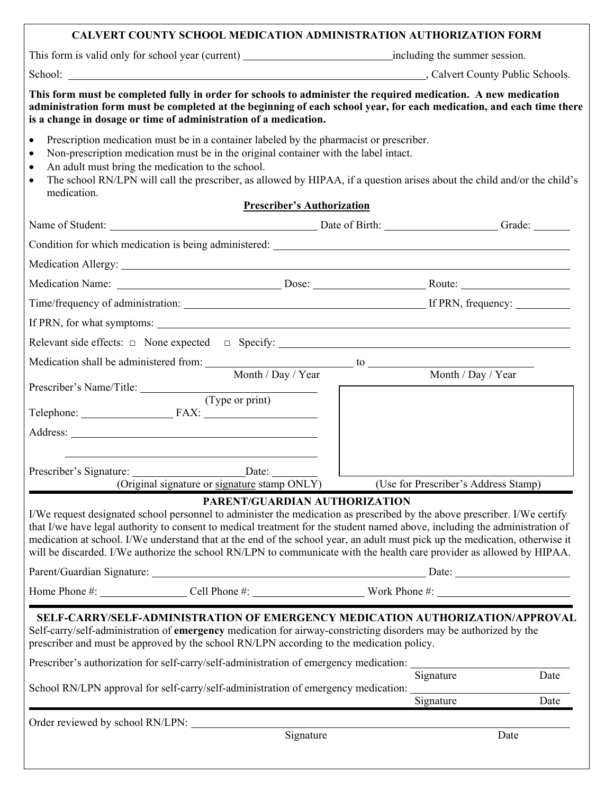| <b>CALVERT COUNTY SCHOOL MEDICATION ADMINISTRATION AUTHORIZATION FORM</b>                                                                                                                                                                                                                                                                                                                                                                                                                                         |                                   |                                      |
|-------------------------------------------------------------------------------------------------------------------------------------------------------------------------------------------------------------------------------------------------------------------------------------------------------------------------------------------------------------------------------------------------------------------------------------------------------------------------------------------------------------------|-----------------------------------|--------------------------------------|
|                                                                                                                                                                                                                                                                                                                                                                                                                                                                                                                   |                                   |                                      |
| School: Calvert County Public Schools.                                                                                                                                                                                                                                                                                                                                                                                                                                                                            |                                   |                                      |
| This form must be completed fully in order for schools to administer the required medication. A new medication<br>administration form must be completed at the beginning of each school year, for each medication, and each time there<br>is a change in dosage or time of administration of a medication.                                                                                                                                                                                                        |                                   |                                      |
| Prescription medication must be in a container labeled by the pharmacist or prescriber.<br>$\bullet$<br>Non-prescription medication must be in the original container with the label intact.<br>$\bullet$<br>An adult must bring the medication to the school.<br>$\bullet$<br>The school RN/LPN will call the prescriber, as allowed by HIPAA, if a question arises about the child and/or the child's<br>$\bullet$<br>medication.                                                                               | <b>Prescriber's Authorization</b> |                                      |
| Name of Student: Contact Contact Contact Contact Contact Contact Contact Contact Contact Contact Contact Contact Contact Contact Contact Contact Contact Contact Contact Contact Contact Contact Contact Contact Contact Conta                                                                                                                                                                                                                                                                                    |                                   |                                      |
|                                                                                                                                                                                                                                                                                                                                                                                                                                                                                                                   |                                   |                                      |
|                                                                                                                                                                                                                                                                                                                                                                                                                                                                                                                   |                                   |                                      |
|                                                                                                                                                                                                                                                                                                                                                                                                                                                                                                                   |                                   |                                      |
|                                                                                                                                                                                                                                                                                                                                                                                                                                                                                                                   |                                   |                                      |
|                                                                                                                                                                                                                                                                                                                                                                                                                                                                                                                   |                                   |                                      |
|                                                                                                                                                                                                                                                                                                                                                                                                                                                                                                                   |                                   |                                      |
|                                                                                                                                                                                                                                                                                                                                                                                                                                                                                                                   |                                   |                                      |
| Month / Day / Year                                                                                                                                                                                                                                                                                                                                                                                                                                                                                                |                                   | Month / Day / Year                   |
| Prescriber's Name/Title: (Type or print)                                                                                                                                                                                                                                                                                                                                                                                                                                                                          |                                   |                                      |
|                                                                                                                                                                                                                                                                                                                                                                                                                                                                                                                   |                                   |                                      |
|                                                                                                                                                                                                                                                                                                                                                                                                                                                                                                                   |                                   |                                      |
| Prescriber's Signature: Date: Date:                                                                                                                                                                                                                                                                                                                                                                                                                                                                               |                                   |                                      |
| (Original signature or signature stamp ONLY)                                                                                                                                                                                                                                                                                                                                                                                                                                                                      |                                   | (Use for Prescriber's Address Stamp) |
| I/We request designated school personnel to administer the medication as prescribed by the above prescriber. I/We certify<br>that I/we have legal authority to consent to medical treatment for the student named above, including the administration of<br>medication at school. I/We understand that at the end of the school year, an adult must pick up the medication, otherwise it<br>will be discarded. I/We authorize the school RN/LPN to communicate with the health care provider as allowed by HIPAA. | PARENT/GUARDIAN AUTHORIZATION     |                                      |
| Parent/Guardian Signature: Date: Date: Date:                                                                                                                                                                                                                                                                                                                                                                                                                                                                      |                                   |                                      |
|                                                                                                                                                                                                                                                                                                                                                                                                                                                                                                                   |                                   |                                      |
| SELF-CARRY/SELF-ADMINISTRATION OF EMERGENCY MEDICATION AUTHORIZATION/APPROVAL<br>Self-carry/self-administration of emergency medication for airway-constricting disorders may be authorized by the<br>prescriber and must be approved by the school RN/LPN according to the medication policy.                                                                                                                                                                                                                    |                                   |                                      |
| Prescriber's authorization for self-carry/self-administration of emergency medication: __________                                                                                                                                                                                                                                                                                                                                                                                                                 |                                   | Signature<br>Date                    |
| School RN/LPN approval for self-carry/self-administration of emergency medication:                                                                                                                                                                                                                                                                                                                                                                                                                                |                                   | Signature<br>Date                    |
| Order reviewed by school RN/LPN:                                                                                                                                                                                                                                                                                                                                                                                                                                                                                  |                                   |                                      |
|                                                                                                                                                                                                                                                                                                                                                                                                                                                                                                                   | Signature                         | Date                                 |
|                                                                                                                                                                                                                                                                                                                                                                                                                                                                                                                   |                                   |                                      |